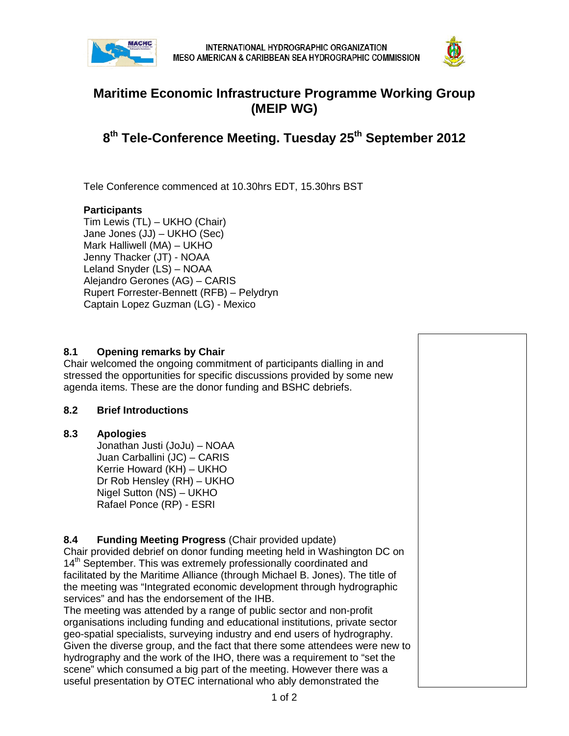



# **Maritime Economic Infrastructure Programme Working Group (MEIP WG)**

**8th Tele-Conference Meeting. Tuesday 25th September 2012**

Tele Conference commenced at 10.30hrs EDT, 15.30hrs BST

## **Participants**

Tim Lewis (TL) – UKHO (Chair) Jane Jones (JJ) – UKHO (Sec) Mark Halliwell (MA) – UKHO Jenny Thacker (JT) - NOAA Leland Snyder (LS) – NOAA Alejandro Gerones (AG) – CARIS Rupert Forrester-Bennett (RFB) – Pelydryn Captain Lopez Guzman (LG) - Mexico

### **8.1 Opening remarks by Chair**

Chair welcomed the ongoing commitment of participants dialling in and stressed the opportunities for specific discussions provided by some new agenda items. These are the donor funding and BSHC debriefs.

#### **8.2 Brief Introductions**

#### **8.3 Apologies**

Jonathan Justi (JoJu) – NOAA Juan Carballini (JC) – CARIS Kerrie Howard (KH) – UKHO Dr Rob Hensley (RH) – UKHO Nigel Sutton (NS) – UKHO Rafael Ponce (RP) - ESRI

## **8.4 Funding Meeting Progress** (Chair provided update)

Chair provided debrief on donor funding meeting held in Washington DC on 14<sup>th</sup> September. This was extremely professionally coordinated and facilitated by the Maritime Alliance (through Michael B. Jones). The title of the meeting was "Integrated economic development through hydrographic services" and has the endorsement of the IHB.

The meeting was attended by a range of public sector and non-profit organisations including funding and educational institutions, private sector geo-spatial specialists, surveying industry and end users of hydrography. Given the diverse group, and the fact that there some attendees were new to hydrography and the work of the IHO, there was a requirement to "set the scene" which consumed a big part of the meeting. However there was a useful presentation by OTEC international who ably demonstrated the